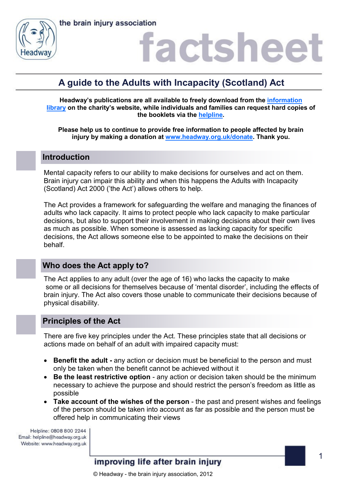

## **A guide to the Adults with Incapacity (Scotland) Act**

**Headway's publications are all available to freely download from the [information](https://www.headway.org.uk/about-brain-injury/individuals/information-library/)  [library](https://www.headway.org.uk/about-brain-injury/individuals/information-library/) on the charity's website, while individuals and families can request hard copies of the booklets via the [helpline.](https://www.headway.org.uk/supporting-you/helpline/)**

**Please help us to continue to provide free information to people affected by brain injury by making a donation at [www.headway.org.uk/donate.](http://www.headway.org.uk/donate) Thank you.**

### **Introduction**

Mental capacity refers to our ability to make decisions for ourselves and act on them. Brain injury can impair this ability and when this happens the Adults with Incapacity (Scotland) Act 2000 ('the Act') allows others to help.

The Act provides a framework for safeguarding the welfare and managing the finances of adults who lack capacity. It aims to protect people who lack capacity to make particular decisions, but also to support their involvement in making decisions about their own lives as much as possible. When someone is assessed as lacking capacity for specific decisions, the Act allows someone else to be appointed to make the decisions on their behalf.

## **Who does the Act apply to?**

The Act applies to any adult (over the age of 16) who lacks the capacity to make some or all decisions for themselves because of 'mental disorder', including the effects of brain injury. The Act also covers those unable to communicate their decisions because of physical disability.

### **Principles of the Act**

There are five key principles under the Act. These principles state that all decisions or actions made on behalf of an adult with impaired capacity must:

- **Benefit the adult -** any action or decision must be beneficial to the person and must only be taken when the benefit cannot be achieved without it
- **Be the least restrictive option** any action or decision taken should be the minimum necessary to achieve the purpose and should restrict the person's freedom as little as possible
- **Take account of the wishes of the person** the past and present wishes and feelings of the person should be taken into account as far as possible and the person must be offered help in communicating their views

Helpline: 0808 800 2244 Email: helpline@headway.org.uk Website: www.headway.org.uk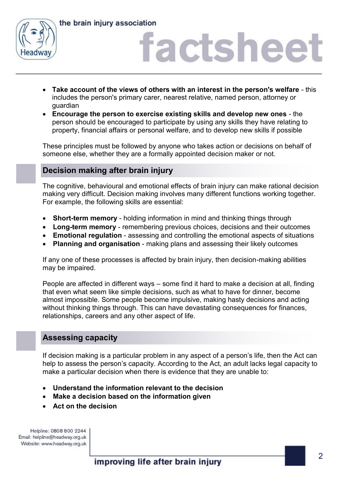

the brain injury association

## factsheet

- **Take account of the views of others with an interest in the person's welfare** this includes the person's primary carer, nearest relative, named person, attorney or guardian
- **Encourage the person to exercise existing skills and develop new ones** the person should be encouraged to participate by using any skills they have relating to property, financial affairs or personal welfare, and to develop new skills if possible

These principles must be followed by anyone who takes action or decisions on behalf of someone else, whether they are a formally appointed decision maker or not.

## **Decision making after brain injury**

The cognitive, behavioural and emotional effects of brain injury can make rational decision making very difficult. Decision making involves many different functions working together. For example, the following skills are essential:

- **Short-term memory** holding information in mind and thinking things through
- **Long-term memory** remembering previous choices, decisions and their outcomes
- **Emotional regulation**  assessing and controlling the emotional aspects of situations
- **Planning and organisation**  making plans and assessing their likely outcomes

If any one of these processes is affected by brain injury, then decision-making abilities may be impaired.

People are affected in different ways – some find it hard to make a decision at all, finding that even what seem like simple decisions, such as what to have for dinner, become almost impossible. Some people become impulsive, making hasty decisions and acting without thinking things through. This can have devastating consequences for finances, relationships, careers and any other aspect of life.

## **Assessing capacity**

If decision making is a particular problem in any aspect of a person's life, then the Act can help to assess the person's capacity. According to the Act, an adult lacks legal capacity to make a particular decision when there is evidence that they are unable to:

- **Understand the information relevant to the decision**
- **Make a decision based on the information given**
- **Act on the decision**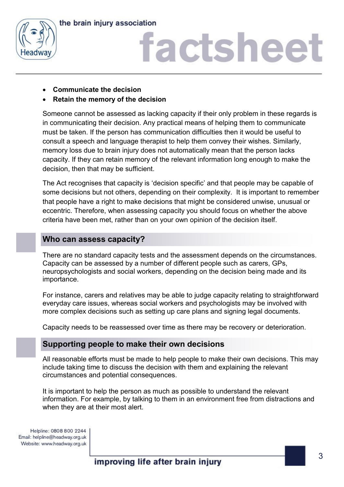



- **Communicate the decision**
- **Retain the memory of the decision**

Someone cannot be assessed as lacking capacity if their only problem in these regards is in communicating their decision. Any practical means of helping them to communicate must be taken. If the person has communication difficulties then it would be useful to consult a speech and language therapist to help them convey their wishes. Similarly, memory loss due to brain injury does not automatically mean that the person lacks capacity. If they can retain memory of the relevant information long enough to make the decision, then that may be sufficient.

The Act recognises that capacity is 'decision specific' and that people may be capable of some decisions but not others, depending on their complexity. It is important to remember that people have a right to make decisions that might be considered unwise, unusual or eccentric. Therefore, when assessing capacity you should focus on whether the above criteria have been met, rather than on your own opinion of the decision itself.

### **Who can assess capacity?**

There are no standard capacity tests and the assessment depends on the circumstances. Capacity can be assessed by a number of different people such as carers, GPs, neuropsychologists and social workers, depending on the decision being made and its importance.

For instance, carers and relatives may be able to judge capacity relating to straightforward everyday care issues, whereas social workers and psychologists may be involved with more complex decisions such as setting up care plans and signing legal documents.

Capacity needs to be reassessed over time as there may be recovery or deterioration.

### **Supporting people to make their own decisions**

All reasonable efforts must be made to help people to make their own decisions. This may include taking time to discuss the decision with them and explaining the relevant circumstances and potential consequences.

It is important to help the person as much as possible to understand the relevant information. For example, by talking to them in an environment free from distractions and when they are at their most alert.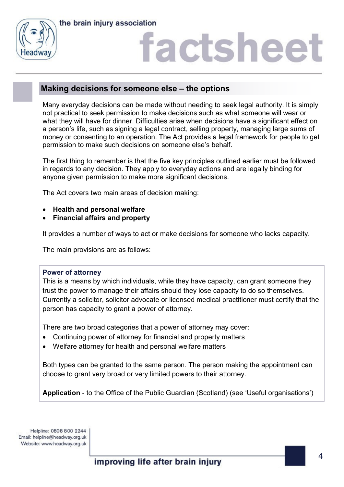

## **Making decisions for someone else – the options**

Many everyday decisions can be made without needing to seek legal authority. It is simply not practical to seek permission to make decisions such as what someone will wear or what they will have for dinner. Difficulties arise when decisions have a significant effect on a person's life, such as signing a legal contract, selling property, managing large sums of money or consenting to an operation. The Act provides a legal framework for people to get permission to make such decisions on someone else's behalf.

The first thing to remember is that the five key principles outlined earlier must be followed in regards to any decision. They apply to everyday actions and are legally binding for anyone given permission to make more significant decisions.

The Act covers two main areas of decision making:

- **Health and personal welfare**
- **Financial affairs and property**

It provides a number of ways to act or make decisions for someone who lacks capacity.

The main provisions are as follows:

#### **Power of attorney**

This is a means by which individuals, while they have capacity, can grant someone they trust the power to manage their affairs should they lose capacity to do so themselves. Currently a solicitor, solicitor advocate or licensed medical practitioner must certify that the person has capacity to grant a power of attorney.

There are two broad categories that a power of attorney may cover:

- Continuing power of attorney for financial and property matters
- Welfare attorney for health and personal welfare matters

Both types can be granted to the same person. The person making the appointment can choose to grant very broad or very limited powers to their attorney.

**Application** - to the Office of the Public Guardian (Scotland) (see 'Useful organisations')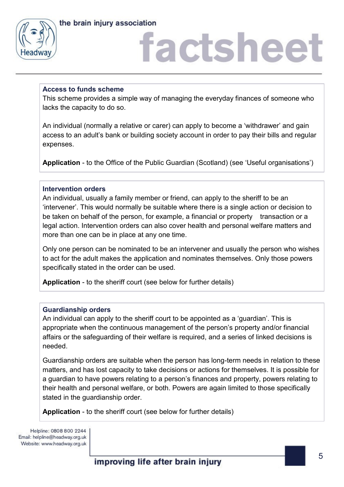



#### **Access to funds scheme**

This scheme provides a simple way of managing the everyday finances of someone who lacks the capacity to do so.

An individual (normally a relative or carer) can apply to become a 'withdrawer' and gain access to an adult's bank or building society account in order to pay their bills and regular expenses.

**Application** - to the Office of the Public Guardian (Scotland) (see 'Useful organisations')

#### **Intervention orders**

An individual, usually a family member or friend, can apply to the sheriff to be an 'intervener'. This would normally be suitable where there is a single action or decision to be taken on behalf of the person, for example, a financial or property transaction or a legal action. Intervention orders can also cover health and personal welfare matters and more than one can be in place at any one time.

Only one person can be nominated to be an intervener and usually the person who wishes to act for the adult makes the application and nominates themselves. Only those powers specifically stated in the order can be used.

**Application** - to the sheriff court (see below for further details)

#### **Guardianship orders**

An individual can apply to the sheriff court to be appointed as a 'guardian'. This is appropriate when the continuous management of the person's property and/or financial affairs or the safeguarding of their welfare is required, and a series of linked decisions is needed.

Guardianship orders are suitable when the person has long-term needs in relation to these matters, and has lost capacity to take decisions or actions for themselves. It is possible for a guardian to have powers relating to a person's finances and property, powers relating to their health and personal welfare, or both. Powers are again limited to those specifically stated in the guardianship order.

**Application** - to the sheriff court (see below for further details)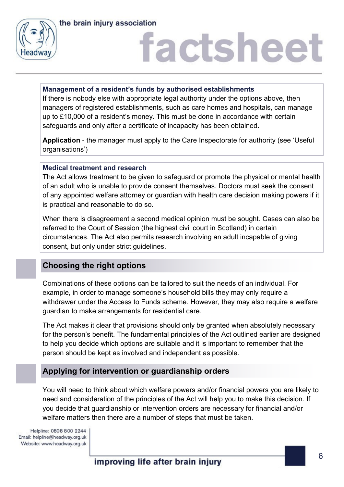

#### **Management of a resident's funds by authorised establishments**

If there is nobody else with appropriate legal authority under the options above, then managers of registered establishments, such as care homes and hospitals, can manage up to £10,000 of a resident's money. This must be done in accordance with certain safeguards and only after a certificate of incapacity has been obtained.

**Application** - the manager must apply to the Care Inspectorate for authority (see 'Useful organisations')

#### **Medical treatment and research**

The Act allows treatment to be given to safeguard or promote the physical or mental health of an adult who is unable to provide consent themselves. Doctors must seek the consent of any appointed welfare attorney or guardian with health care decision making powers if it is practical and reasonable to do so.

When there is disagreement a second medical opinion must be sought. Cases can also be referred to the Court of Session (the highest civil court in Scotland) in certain circumstances. The Act also permits research involving an adult incapable of giving consent, but only under strict guidelines.

## **Choosing the right options**

Combinations of these options can be tailored to suit the needs of an individual. For example, in order to manage someone's household bills they may only require a withdrawer under the Access to Funds scheme. However, they may also require a welfare guardian to make arrangements for residential care.

The Act makes it clear that provisions should only be granted when absolutely necessary for the person's benefit. The fundamental principles of the Act outlined earlier are designed to help you decide which options are suitable and it is important to remember that the person should be kept as involved and independent as possible.

## **Applying for intervention or guardianship orders**

You will need to think about which welfare powers and/or financial powers you are likely to need and consideration of the principles of the Act will help you to make this decision. If you decide that guardianship or intervention orders are necessary for financial and/or welfare matters then there are a number of steps that must be taken.

Helpline: 0808 800 2244 Email: helpline@headway.org.uk Website: www.headway.org.uk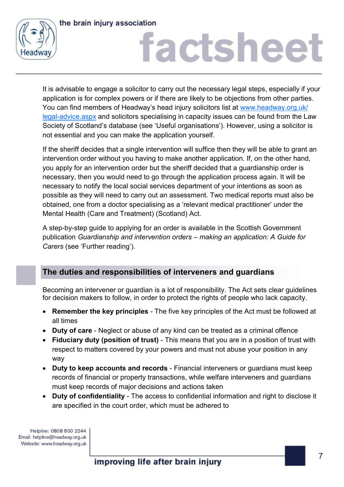



It is advisable to engage a solicitor to carry out the necessary legal steps, especially if your application is for complex powers or if there are likely to be objections from other parties. You can find members of Headway's head injury solicitors list at [www.headway.org.uk/](http://www.headway.org.uk/legal-advice.aspx) [legal-advice.aspx](http://www.headway.org.uk/legal-advice.aspx) and solicitors specialising in capacity issues can be found from the Law Society of Scotland's database (see 'Useful organisations'). However, using a solicitor is not essential and you can make the application yourself.

If the sheriff decides that a single intervention will suffice then they will be able to grant an intervention order without you having to make another application. If, on the other hand, you apply for an intervention order but the sheriff decided that a guardianship order is necessary, then you would need to go through the application process again. It will be necessary to notify the local social services department of your intentions as soon as possible as they will need to carry out an assessment. Two medical reports must also be obtained, one from a doctor specialising as a 'relevant medical practitioner' under the Mental Health (Care and Treatment) (Scotland) Act.

A step-by-step guide to applying for an order is available in the Scottish Government publication *Guardianship and intervention orders – making an application: A Guide for Carers* (see 'Further reading').

## **The duties and responsibilities of interveners and guardians**

Becoming an intervener or guardian is a lot of responsibility. The Act sets clear guidelines for decision makers to follow, in order to protect the rights of people who lack capacity.

- **Remember the key principles** The five key principles of the Act must be followed at all times
- **Duty of care** Neglect or abuse of any kind can be treated as a criminal offence
- **Fiduciary duty (position of trust)**  This means that you are in a position of trust with respect to matters covered by your powers and must not abuse your position in any way
- **Duty to keep accounts and records** Financial interveners or guardians must keep records of financial or property transactions, while welfare interveners and guardians must keep records of major decisions and actions taken
- **Duty of confidentiality** The access to confidential information and right to disclose it are specified in the court order, which must be adhered to

Helpline: 0808 800 2244 Email: helpline@headway.org.uk Website: www.headway.org.uk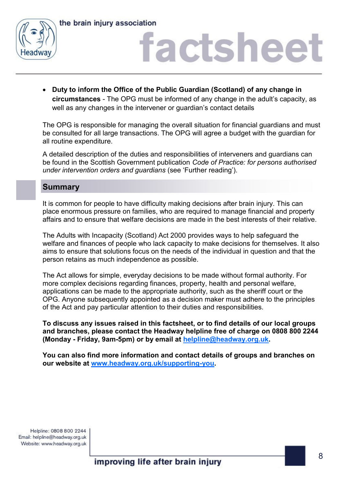



 **Duty to inform the Office of the Public Guardian (Scotland) of any change in circumstances** - The OPG must be informed of any change in the adult's capacity, as well as any changes in the intervener or guardian's contact details

The OPG is responsible for managing the overall situation for financial guardians and must be consulted for all large transactions. The OPG will agree a budget with the guardian for all routine expenditure.

A detailed description of the duties and responsibilities of interveners and guardians can be found in the Scottish Government publication *Code of Practice: for persons authorised under intervention orders and guardians* (see 'Further reading').

#### **Summary**

It is common for people to have difficulty making decisions after brain injury. This can place enormous pressure on families, who are required to manage financial and property affairs and to ensure that welfare decisions are made in the best interests of their relative.

The Adults with Incapacity (Scotland) Act 2000 provides ways to help safeguard the welfare and finances of people who lack capacity to make decisions for themselves. It also aims to ensure that solutions focus on the needs of the individual in question and that the person retains as much independence as possible.

The Act allows for simple, everyday decisions to be made without formal authority. For more complex decisions regarding finances, property, health and personal welfare, applications can be made to the appropriate authority, such as the sheriff court or the OPG. Anyone subsequently appointed as a decision maker must adhere to the principles of the Act and pay particular attention to their duties and responsibilities.

**To discuss any issues raised in this factsheet, or to find details of our local groups and branches, please contact the Headway helpline free of charge on 0808 800 2244 (Monday - Friday, 9am-5pm) or by email at [helpline@headway.org.uk.](mailto:helpline@headway.org.uk)** 

**You can also find more information and contact details of groups and branches on our website at [www.headway.org.uk/supporting-you.](https://www.headway.org.uk/supporting-you/in-your-area/groups-and-branches/)**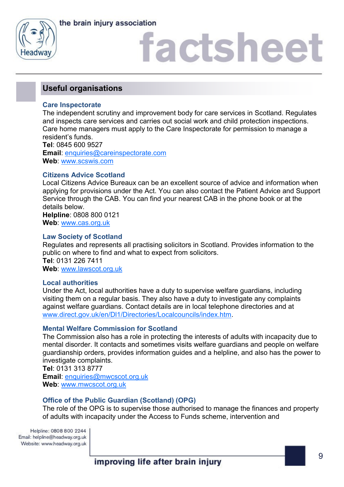



### **Useful organisations**

#### **Care Inspectorate**

The independent scrutiny and improvement body for care services in Scotland. Regulates and inspects care services and carries out social work and child protection inspections. Care home managers must apply to the Care Inspectorate for permission to manage a resident's funds.

**Tel**: 0845 600 9527 **Email**: [enquiries@careinspectorate.com](mailto:enquiries@careinspectorate.com) **Web**: [www.scswis.com](http://www.scswis.com)

#### **Citizens Advice Scotland**

Local Citizens Advice Bureaux can be an excellent source of advice and information when applying for provisions under the Act. You can also contact the Patient Advice and Support Service through the CAB. You can find your nearest CAB in the phone book or at the details below. **Helpline**: 0808 800 0121

**Web**: [www.cas.org.uk](http://www.cas.org.uk)

#### **Law Society of Scotland**

Regulates and represents all practising solicitors in Scotland. Provides information to the public on where to find and what to expect from solicitors. **Tel**: 0131 226 7411 **Web**: [www.lawscot.org.uk](http://www.lawscot.org.uk)

#### **Local authorities**

Under the Act, local authorities have a duty to supervise welfare guardians, including visiting them on a regular basis. They also have a duty to investigate any complaints against welfare guardians. Contact details are in local telephone directories and at [www.direct.gov.uk/en/Dl1/Directories/Localcouncils/index.htm.](http://www.direct.gov.uk/en/Dl1/Directories/Localcouncils/index.htm)

#### **Mental Welfare Commission for Scotland**

The Commission also has a role in protecting the interests of adults with incapacity due to mental disorder. It contacts and sometimes visits welfare guardians and people on welfare guardianship orders, provides information guides and a helpline, and also has the power to investigate complaints.

**Tel**: 0131 313 8777 **Email**: [enquiries@mwcscot.org.uk](mailto:enquiries@mwcscot.org.uk) **Web**: [www.mwcscot.org.uk](http://www.mwcscot.org.uk)

#### **Office of the Public Guardian (Scotland) (OPG)**

The role of the OPG is to supervise those authorised to manage the finances and property of adults with incapacity under the Access to Funds scheme, intervention and

Helpline: 0808 800 2244 Email: helpline@headway.org.uk Website: www.headway.org.uk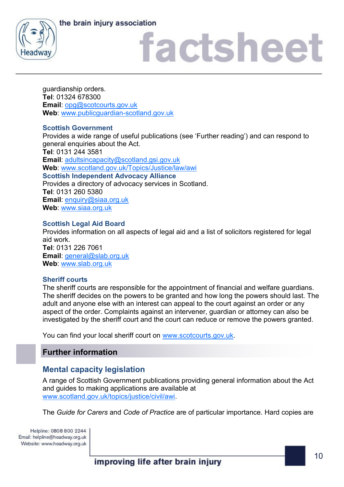the brain injury association



# factsheet

guardianship orders. **Tel**: 01324 678300 **Email**: [opg@scotcourts.gov.uk](mailto:opg@scotcourts.gov.uk) **Web**: [www.publicguardian-scotland.gov.uk](http://www.publicguardian-scotland.gov.uk)

#### **Scottish Government**

Provides a wide range of useful publications (see 'Further reading') and can respond to general enquiries about the Act. **Tel**: 0131 244 3581 **Email**: [adultsincapacity@scotland.gsi.gov.uk](mailto:adultsincapacity@scotland.gsi.gov.uk)  **Web**: [www.scotland.gov.uk/Topics/Justice/law/awi](http://www.scotland.gov.uk/Topics/Justice/law/awi) **Scottish Independent Advocacy Alliance** Provides a directory of advocacy services in Scotland. **Tel**: 0131 260 5380 **Email**: [enquiry@siaa.org.uk](mailto:enquiry@siaa.org.uk) **Web**: [www.siaa.org.uk](http://www.siaa.org.uk)

#### **Scottish Legal Aid Board**

Provides information on all aspects of legal aid and a list of solicitors registered for legal aid work. **Tel**: 0131 226 7061 **Email**: [general@slab.org.uk](mailto:general@slab.org.uk) **Web**: [www.slab.org.uk](http://www.slab.org.uk)

#### **Sheriff courts**

The sheriff courts are responsible for the appointment of financial and welfare guardians. The sheriff decides on the powers to be granted and how long the powers should last. The adult and anyone else with an interest can appeal to the court against an order or any aspect of the order. Complaints against an intervener, guardian or attorney can also be investigated by the sheriff court and the court can reduce or remove the powers granted.

You can find your local sheriff court on [www.scotcourts.gov.uk.](http://www.scotcourts.gov.uk) 

### **Further information**

## **Mental capacity legislation**

A range of Scottish Government publications providing general information about the Act and guides to making applications are available at [www.scotland.gov.uk/topics/justice/civil/awi.](http://www.scotland.gov.uk/topics/justice/civil/awi)

The *Guide for Carers* and *Code of Practice* are of particular importance. Hard copies are

Helpline: 0808 800 2244 Email: helpline@headway.org.uk Website: www.headway.org.uk